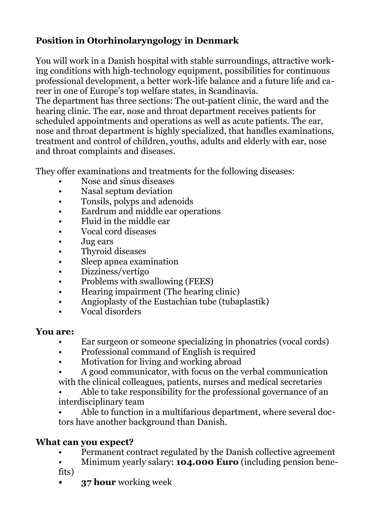# **Position in Otorhinolaryngology in Denmark**

You will work in a Danish hospital with stable surroundings, attractive working conditions with high-technology equipment, possibilities for continuous professional development, a better work-life balance and a future life and career in one of Europe's top welfare states, in Scandinavia.

The department has three sections: The out-patient clinic, the ward and the hearing clinic. The ear, nose and throat department receives patients for scheduled appointments and operations as well as acute patients. The ear, nose and throat department is highly specialized, that handles examinations, treatment and control of children, youths, adults and elderly with ear, nose and throat complaints and diseases.

They offer examinations and treatments for the following diseases:

- Nose and sinus diseases
- Nasal septum deviation
- Tonsils, polyps and adenoids
- Eardrum and middle ear operations
- Fluid in the middle ear
- Vocal cord diseases
- Jug ears
- Thyroid diseases
- Sleep apnea examination
- Dizziness/vertigo
- Problems with swallowing (FEES)
- Hearing impairment (The hearing clinic)
- Angioplasty of the Eustachian tube (tubaplastik)
- Vocal disorders

#### **You are:**

- Ear surgeon or someone specializing in phonatrics (vocal cords)
- Professional command of English is required
- Motivation for living and working abroad
- A good communicator, with focus on the verbal communication with the clinical colleagues, patients, nurses and medical secretaries
- Able to take responsibility for the professional governance of an interdisciplinary team
- Able to function in a multifarious department, where several doctors have another background than Danish.

### **What can you expect?**

- Permanent contract regulated by the Danish collective agreement
- Minimum yearly salary: **104.000 Euro** (including pension benefits)
- **• 37 hour** working week